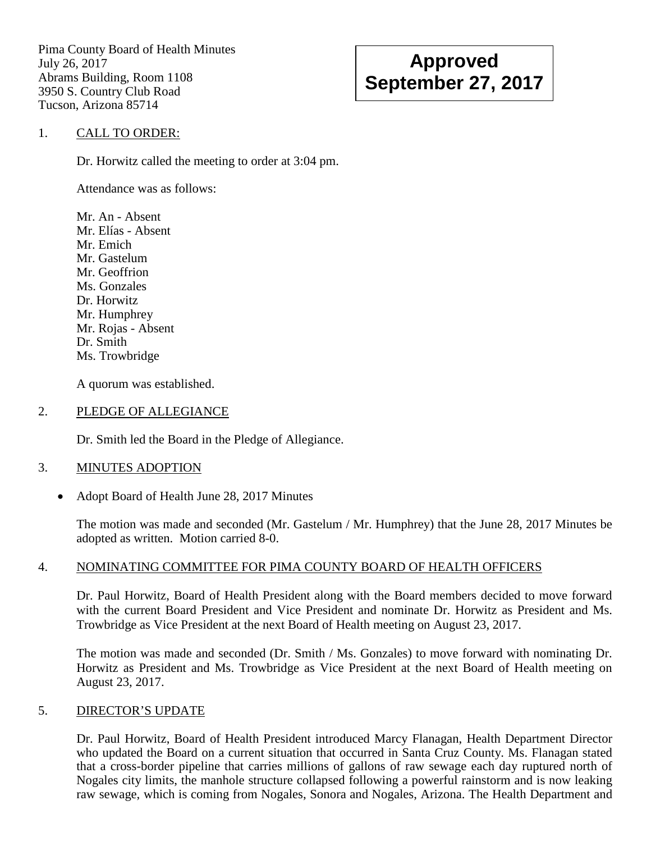Pima County Board of Health Minutes July 26, 2017 Abrams Building, Room 1108 3950 S. Country Club Road Tucson, Arizona 85714

# **Approved September 27, 2017**

### 1. CALL TO ORDER:

Dr. Horwitz called the meeting to order at 3:04 pm.

Attendance was as follows:

Mr. An - Absent Mr. Elías - Absent Mr. Emich Mr. Gastelum Mr. Geoffrion Ms. Gonzales Dr. Horwitz Mr. Humphrey Mr. Rojas - Absent Dr. Smith Ms. Trowbridge

A quorum was established.

#### 2. PLEDGE OF ALLEGIANCE

Dr. Smith led the Board in the Pledge of Allegiance.

### 3. MINUTES ADOPTION

• Adopt Board of Health June 28, 2017 Minutes

The motion was made and seconded (Mr. Gastelum / Mr. Humphrey) that the June 28, 2017 Minutes be adopted as written. Motion carried 8-0.

### 4. NOMINATING COMMITTEE FOR PIMA COUNTY BOARD OF HEALTH OFFICERS

Dr. Paul Horwitz, Board of Health President along with the Board members decided to move forward with the current Board President and Vice President and nominate Dr. Horwitz as President and Ms. Trowbridge as Vice President at the next Board of Health meeting on August 23, 2017.

The motion was made and seconded (Dr. Smith / Ms. Gonzales) to move forward with nominating Dr. Horwitz as President and Ms. Trowbridge as Vice President at the next Board of Health meeting on August 23, 2017.

### 5. DIRECTOR'S UPDATE

Dr. Paul Horwitz, Board of Health President introduced Marcy Flanagan, Health Department Director who updated the Board on a current situation that occurred in Santa Cruz County. Ms. Flanagan stated that a cross-border pipeline that carries millions of gallons of raw sewage each day ruptured north of Nogales city limits, the manhole structure collapsed following a powerful rainstorm and is now leaking raw sewage, which is coming from Nogales, Sonora and Nogales, Arizona. The Health Department and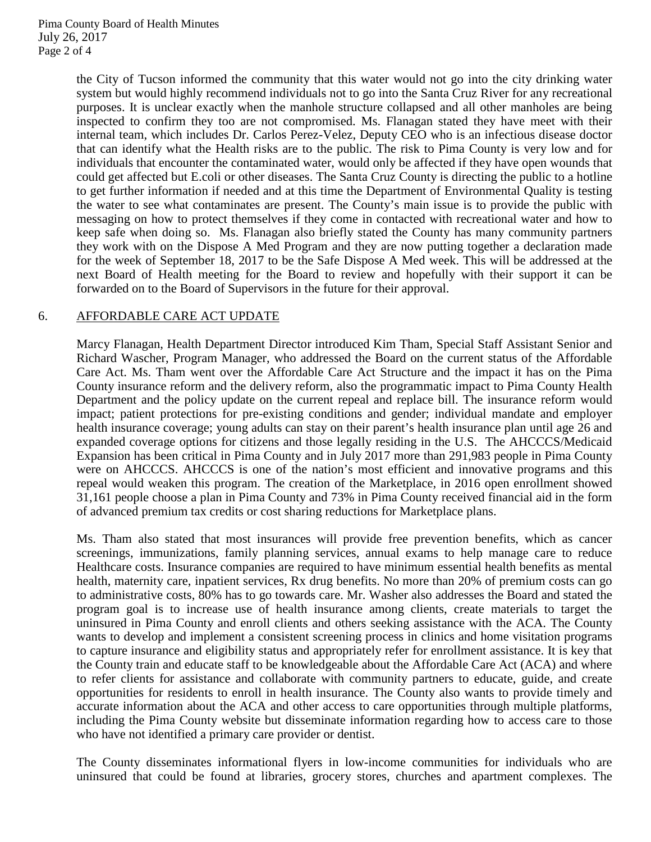the City of Tucson informed the community that this water would not go into the city drinking water system but would highly recommend individuals not to go into the Santa Cruz River for any recreational purposes. It is unclear exactly when the manhole structure collapsed and all other manholes are being inspected to confirm they too are not compromised. Ms. Flanagan stated they have meet with their internal team, which includes Dr. Carlos Perez-Velez, Deputy CEO who is an infectious disease doctor that can identify what the Health risks are to the public. The risk to Pima County is very low and for individuals that encounter the contaminated water, would only be affected if they have open wounds that could get affected but E.coli or other diseases. The Santa Cruz County is directing the public to a hotline to get further information if needed and at this time the Department of Environmental Quality is testing the water to see what contaminates are present. The County's main issue is to provide the public with messaging on how to protect themselves if they come in contacted with recreational water and how to keep safe when doing so. Ms. Flanagan also briefly stated the County has many community partners they work with on the Dispose A Med Program and they are now putting together a declaration made for the week of September 18, 2017 to be the Safe Dispose A Med week. This will be addressed at the next Board of Health meeting for the Board to review and hopefully with their support it can be forwarded on to the Board of Supervisors in the future for their approval.

### 6. AFFORDABLE CARE ACT UPDATE

Marcy Flanagan, Health Department Director introduced Kim Tham, Special Staff Assistant Senior and Richard Wascher, Program Manager, who addressed the Board on the current status of the Affordable Care Act. Ms. Tham went over the Affordable Care Act Structure and the impact it has on the Pima County insurance reform and the delivery reform, also the programmatic impact to Pima County Health Department and the policy update on the current repeal and replace bill. The insurance reform would impact; patient protections for pre-existing conditions and gender; individual mandate and employer health insurance coverage; young adults can stay on their parent's health insurance plan until age 26 and expanded coverage options for citizens and those legally residing in the U.S. The AHCCCS/Medicaid Expansion has been critical in Pima County and in July 2017 more than 291,983 people in Pima County were on AHCCCS. AHCCCS is one of the nation's most efficient and innovative programs and this repeal would weaken this program. The creation of the Marketplace, in 2016 open enrollment showed 31,161 people choose a plan in Pima County and 73% in Pima County received financial aid in the form of advanced premium tax credits or cost sharing reductions for Marketplace plans.

Ms. Tham also stated that most insurances will provide free prevention benefits, which as cancer screenings, immunizations, family planning services, annual exams to help manage care to reduce Healthcare costs. Insurance companies are required to have minimum essential health benefits as mental health, maternity care, inpatient services, Rx drug benefits. No more than 20% of premium costs can go to administrative costs, 80% has to go towards care. Mr. Washer also addresses the Board and stated the program goal is to increase use of health insurance among clients, create materials to target the uninsured in Pima County and enroll clients and others seeking assistance with the ACA. The County wants to develop and implement a consistent screening process in clinics and home visitation programs to capture insurance and eligibility status and appropriately refer for enrollment assistance. It is key that the County train and educate staff to be knowledgeable about the Affordable Care Act (ACA) and where to refer clients for assistance and collaborate with community partners to educate, guide, and create opportunities for residents to enroll in health insurance. The County also wants to provide timely and accurate information about the ACA and other access to care opportunities through multiple platforms, including the Pima County website but disseminate information regarding how to access care to those who have not identified a primary care provider or dentist.

The County disseminates informational flyers in low-income communities for individuals who are uninsured that could be found at libraries, grocery stores, churches and apartment complexes. The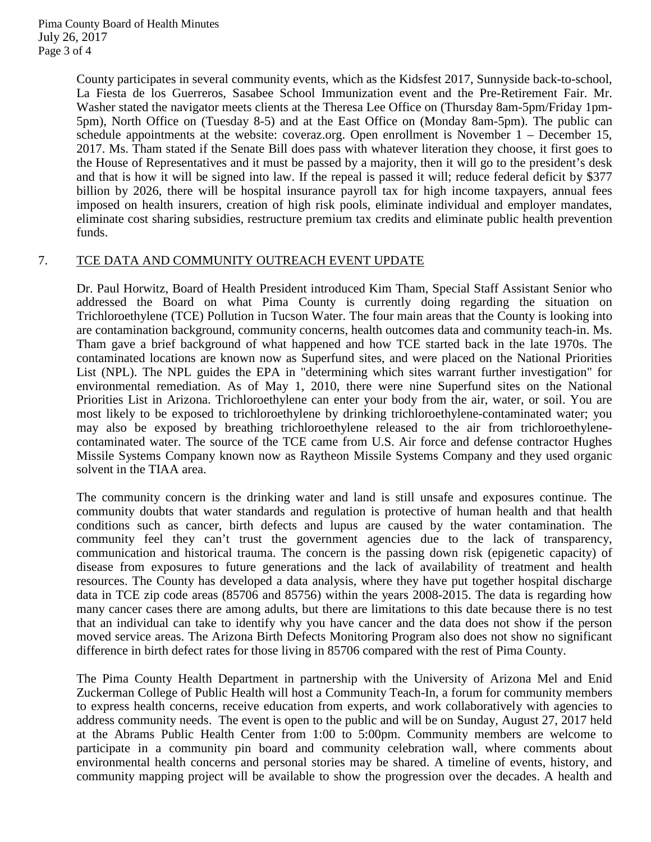County participates in several community events, which as the Kidsfest 2017, Sunnyside back-to-school, La Fiesta de los Guerreros, Sasabee School Immunization event and the Pre-Retirement Fair. Mr. Washer stated the navigator meets clients at the Theresa Lee Office on (Thursday 8am-5pm/Friday 1pm-5pm), North Office on (Tuesday 8-5) and at the East Office on (Monday 8am-5pm). The public can schedule appointments at the website: coveraz.org. Open enrollment is November 1 – December 15, 2017. Ms. Tham stated if the Senate Bill does pass with whatever literation they choose, it first goes to the House of Representatives and it must be passed by a majority, then it will go to the president's desk and that is how it will be signed into law. If the repeal is passed it will; reduce federal deficit by \$377 billion by 2026, there will be hospital insurance payroll tax for high income taxpayers, annual fees imposed on health insurers, creation of high risk pools, eliminate individual and employer mandates, eliminate cost sharing subsidies, restructure premium tax credits and eliminate public health prevention funds.

# 7. TCE DATA AND COMMUNITY OUTREACH EVENT UPDATE

Dr. Paul Horwitz, Board of Health President introduced Kim Tham, Special Staff Assistant Senior who addressed the Board on what Pima County is currently doing regarding the situation on Trichloroethylene (TCE) Pollution in Tucson Water. The four main areas that the County is looking into are contamination background, community concerns, health outcomes data and community teach-in. Ms. Tham gave a brief background of what happened and how TCE started back in the late 1970s. The contaminated locations are known now as Superfund sites, and were placed on the National Priorities List (NPL). The NPL guides the EPA in "determining which sites warrant further investigation" for environmental remediation. As of May 1, 2010, there were nine Superfund sites on the National Priorities List in Arizona. Trichloroethylene can enter your body from the air, water, or soil. You are most likely to be exposed to trichloroethylene by drinking trichloroethylene-contaminated water; you may also be exposed by breathing trichloroethylene released to the air from trichloroethylenecontaminated water. The source of the TCE came from U.S. Air force and defense contractor Hughes Missile Systems Company known now as Raytheon Missile Systems Company and they used organic solvent in the TIAA area.

The community concern is the drinking water and land is still unsafe and exposures continue. The community doubts that water standards and regulation is protective of human health and that health conditions such as cancer, birth defects and lupus are caused by the water contamination. The community feel they can't trust the government agencies due to the lack of transparency, communication and historical trauma. The concern is the passing down risk (epigenetic capacity) of disease from exposures to future generations and the lack of availability of treatment and health resources. The County has developed a data analysis, where they have put together hospital discharge data in TCE zip code areas (85706 and 85756) within the years 2008-2015. The data is regarding how many cancer cases there are among adults, but there are limitations to this date because there is no test that an individual can take to identify why you have cancer and the data does not show if the person moved service areas. The Arizona Birth Defects Monitoring Program also does not show no significant difference in birth defect rates for those living in 85706 compared with the rest of Pima County.

The Pima County Health Department in partnership with the University of Arizona Mel and Enid Zuckerman College of Public Health will host a Community Teach-In, a forum for community members to express health concerns, receive education from experts, and work collaboratively with agencies to address community needs. The event is open to the public and will be on Sunday, August 27, 2017 held at the Abrams Public Health Center from 1:00 to 5:00pm. Community members are welcome to participate in a community pin board and community celebration wall, where comments about environmental health concerns and personal stories may be shared. A timeline of events, history, and community mapping project will be available to show the progression over the decades. A health and